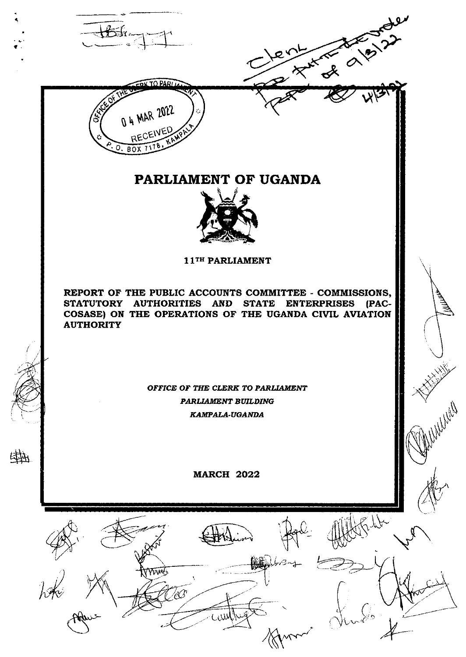



啦

# PARLIAMENT OF UGANDA

 $x^2$ 



11TH PARLIAMENT

REPORT OF THE PUBLIC ACCOUNTS COMMITTEE - COMMISSIONS, STATUTORY AUTHORITIES AND STATE ENTERPRISES (PAC-COSASE) ON THE OPERATIONS OF THE UGANDA CIVIL AVIATION **AUTHORITY** 

> OFFICE OF THE CLERK TO PARLIAMENT PARLIAMENT BUILDING KAMPALA-UGANDA

> > **MARCH 2022**

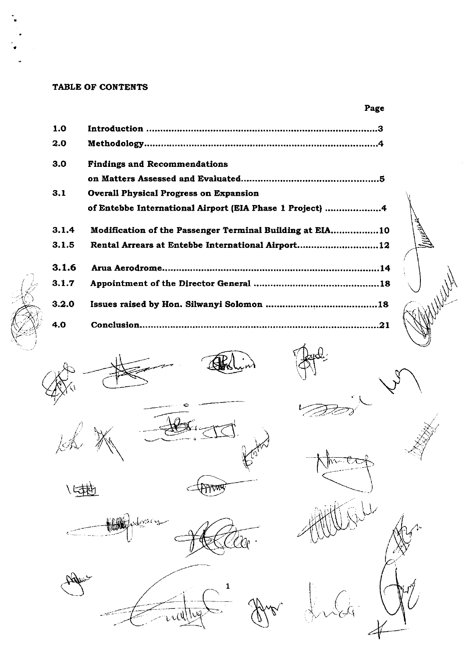#### TABLE OF CONTENTS

 $1.0$  $2.0$  $3.0$ **Findings and Recommendations**  $3.1$ **Overall Physical Progress on Expansion** of Entebbe International Airport (EIA Phase 1 Project) .....................4  $3.1.4$ Modification of the Passenger Terminal Building at EIA.................10  $3.1.5$ Rental Arrears at Entebbe International Airport..............................12  $3.1.6$  $3.1.7$  $3.2.0$  $4.0$ 



Page





に載









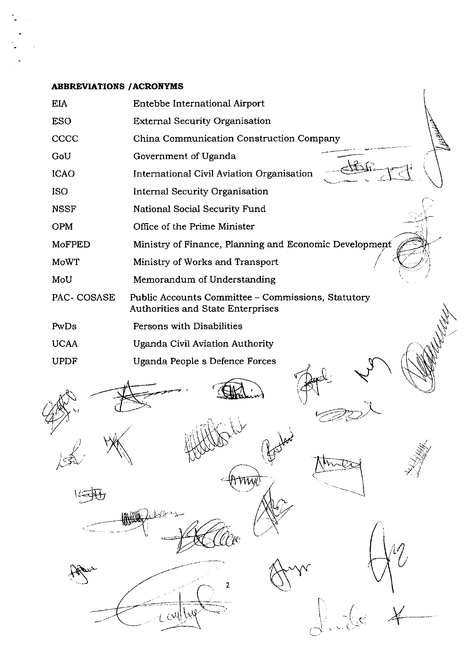### **ABBREVIATIONS / ACRONYMS**

 $\frac{1}{\sqrt{2}}$ 

 $\frac{1}{2}$ 

 $\frac{1}{2}$ 

|               | ADDRIJ VIRTIONO 7 ACACH I MO                                                            |
|---------------|-----------------------------------------------------------------------------------------|
| <b>EIA</b>    | Entebbe International Airport                                                           |
| <b>ESO</b>    | <b>External Security Organisation</b>                                                   |
| CCCC          | China Communication Construction Company                                                |
| GoU           | Government of Uganda                                                                    |
| <b>ICAO</b>   | International Civil Aviation Organisation                                               |
| <b>ISO</b>    | Internal Security Organisation                                                          |
| <b>NSSF</b>   | National Social Security Fund                                                           |
| <b>OPM</b>    | Office of the Prime Minister                                                            |
| <b>MoFPED</b> | Ministry of Finance, Planning and Economic Development                                  |
| <b>MoWT</b>   | Ministry of Works and Transport                                                         |
| MoU           | Memorandum of Understanding                                                             |
| PAC- COSASE   | Public Accounts Committee - Commissions, Statutory<br>Authorities and State Enterprises |
| PwDs          | Persons with Disabilities                                                               |
| <b>UCAA</b>   | Uganda Civil Aviation Authority                                                         |
| <b>UPDF</b>   | Uganda People s Defence Forces                                                          |
|               |                                                                                         |
|               | $\sim$ W)                                                                               |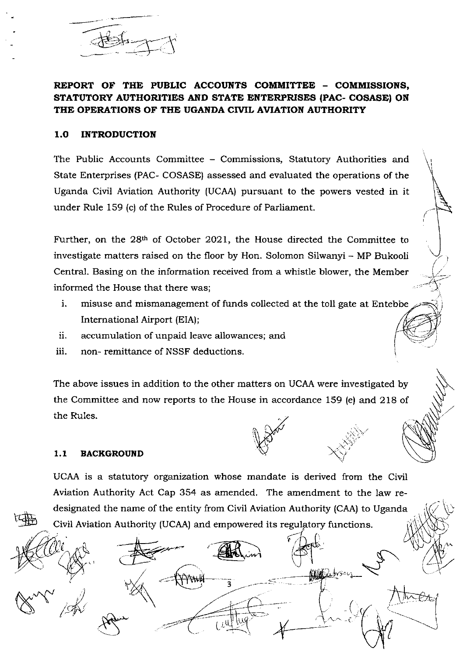$\overline{\mathcal{A}}$ 

REPORT OF THE PUBLIC ACCOUNTS COMMITTEE - COMMISSIONS, STATUTORY AUTHORITIES AND STATE ENTERPRISES (PAC- COSASEI ON THE OPERATIONS OF THE UGANDA CIVIL AVIATION AUTHORITY

### 1.0 INTRODUCTION

The Public Accounts Committee - Commissions, Statutory Authorities and State Enterprises (PAC- COSASE) assessed and evaluated the operations of the Uganda Civil Aviation Authority (UCAA) pursuant to the powers vested in it under Rule 159 (c) of the Rules of Procedure of Parliament.

Further, on the 28<sup>th</sup> of October 2021, the House directed the Committee to investigate matters raised on the floor by Hon. Solomon Silwanyi - MP Bukooli Central. Basing on the information received from a whistle blower, the Member informed the House that there was;

 $\sqrt{2}$  $\overline{\mathcal{L}}$ 

\:

 $\overline{\mathbb{M}}$ 

!a:.i  $\sim$  is j

ks= v1

( ( t

AUC

- i. misuse and mismanagement of funds collected at the toll gate at Entebbe International Airport (EIA);
- accumulation of unpaid leave ailowances; and u.
- non- remittance of NSSF deductions. iii.

The above issues in addition to the other matters on UCAA were investigated by the Committee and now reports to the House in accordance 159 (e) and 218 of the Rules.

#### 1.1 BACKGROUND

and the sea

t

 $\bigotimes^\infty\! \searrow\! \nearrow\! \nearrow\! \nearrow\! \nearrow\! \nearrow\!$ 

UCAA is a statutory organization whose mandate is derived from the Civil Aviation Authority Act Cap 354 as amended. The amendment to the law redesignated the name of the entity from Civil Aviation Authority (CAA) to Ugarda Civil Aviation Authority (UCAA) and empowered its regulatory functions.

 $\mathbb{R}^2$  . The contract of  $\mathbb{R}^2$ 

 $\mathsf{L}^{\prime\mathsf{v}}$ 

) <sup>3</sup>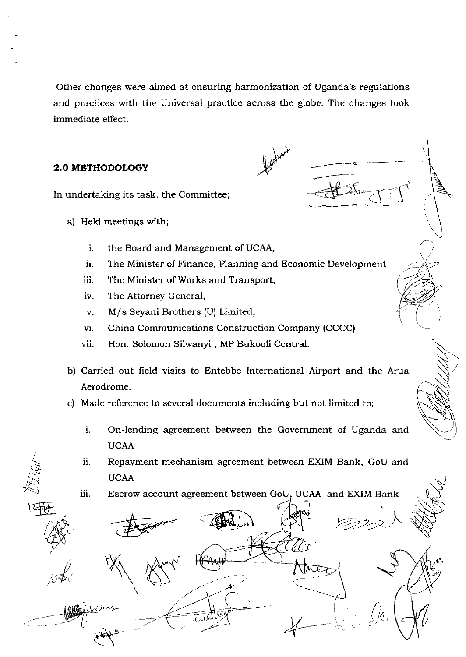Other changes were aimed at ensuring harmonization of Uganda's regulations and practices with the Universal practice across the globe. The changes took immediate effect.

 $\frac{1}{2}$ ,  $\frac{1}{2}$ ,  $\frac{1}{2}$ ,  $\frac{1}{2}$ ,  $\frac{1}{2}$ ,  $\frac{1}{2}$ ,  $\frac{1}{2}$ ,  $\frac{1}{2}$ ,  $\frac{1}{2}$ ,  $\frac{1}{2}$ ,  $\frac{1}{2}$ ,  $\frac{1}{2}$ ,  $\frac{1}{2}$ ,  $\frac{1}{2}$ ,  $\frac{1}{2}$ ,  $\frac{1}{2}$ ,  $\frac{1}{2}$ ,  $\frac{1}{2}$ ,  $\frac{1}{2}$ ,  $\frac{1}{2}$ ,

\_-\_-

t

 $\checkmark$ 

 $\rightarrow$ -:---a ','?-/ \--

> $\sqrt{2}$  $\mathfrak{e}$

 $\sim$   $\sim$ ''

f 0 v

### 2.O METHODOLOGY

In undertaking its task, the Committee;

- a) Held meetings with;
	- the Board and Management of UCAA,  $\mathbf{i}$ .
	- The Minister of Finance, Planning and Economic Development ii.
	- The Minister of Works and Transport, iii
	- The Attorney General, iv
	- $\mathbf{v}$ . M/s Seyani Brothers (U) Limited,
	- China Communications Construction Company (CCCC) vi
	- Hon. Solomon Silwanyi , MP Bukooli Central. vii.

C;-

- b) Carried out field visits to Entebbe International Airport and the Arua Aerodrome.
- c) Made reference to several documents including but not limited to:
	- On-lending agreement between the Government of Uganda and UCAA  $\mathbf{i}$ .
	- Repayment mechanism agreement between EXIM Bank, GoU and UCAA 11

 $\breve{\mathbb{Z}}$  $\approx$ )<br>[40]

 $\cdot' \leq n$  $\mathcal{S}_t$ 

 $\mathsf{C}^1$ 

 $\mathcal{A}$ 

 $\sim$   $\gamma \times$ 

.<br>س<sub>و</sub>بر

Reve

iii. Escrow account agreement between GoU, UCAA and EXIM Bank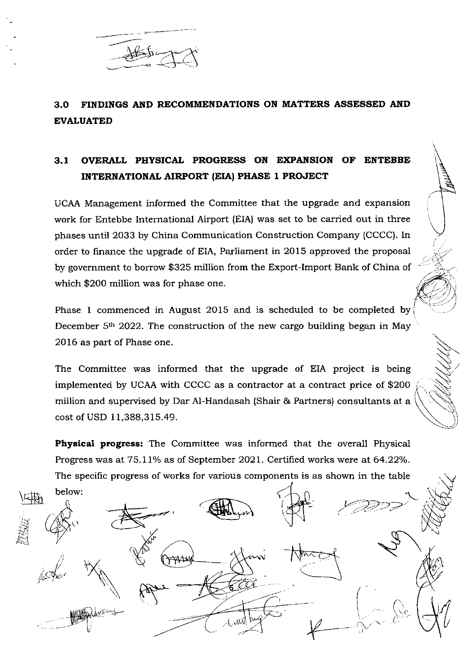

# 3.O FINDINGS AND RECOMMENDATIONS ON MATTERS ASSESSED AND EVALUATED

# 3.1 OVERALL PHYSICAI PROGRESS ON EXPANSION OF ENTEBBE INTERNATIONAI AIRPORT (EIA} PHASE 1 PROJECT

UCAA Management informed the Committee that the upgrade and expansion work for Entebbe International Airport (EIA) was set to be carried out in three phases until 2O33 by China Communication Construction Company (CCCC). In order to finance the upgrade of EIA, Parliament in 2015 approved the proposal by government to borrow \$325 million from the Export-Import Bank of China of which \$200 million was for phase one.

. 4 Y

Phase 1 commenced in August 2015 and is scheduled to be completed by December 5<sup>th</sup> 2022. The construction of the new cargo building began in May 2016 as part of Phase one.

The Committee was informed that the upgrade of EIA project is being implemented by UCAA with CCCC as a contractor at a contract price of \$20O million and supervised by Dar Al-Handasah (Shair & Partners) consultants at a cost of USD 11,388,315.49.

Physical progress: The Committee was informed that the overall Physical Progress was at 75.11% as of September 2021. Certified works were at 64.22%. The specific progress of works for various components is as shown in the table

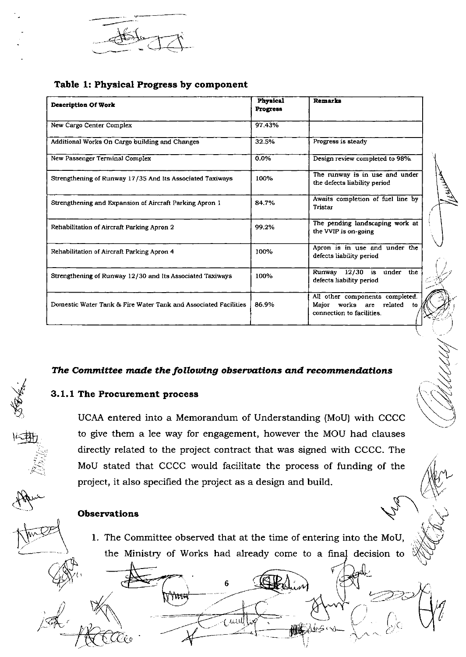

## Table 1: Physical Progress by component

| <b>Description Of Work</b>                                      | <b>Physical</b><br>Progress | <b>Remarks</b>                                                                                       |
|-----------------------------------------------------------------|-----------------------------|------------------------------------------------------------------------------------------------------|
| New Cargo Center Complex                                        | 97.43%                      |                                                                                                      |
| Additional Works On Cargo building and Changes                  | 32.5%                       | Progress is steady                                                                                   |
| New Passenger Terminal Complex                                  | 0.0%                        | Design review completed to 98%.                                                                      |
| Strengthening of Runway 17/35 And Its Associated Taxiways       | 100%                        | The runway is in use and under<br>the defects liability period                                       |
| Strengthening and Expansion of Aircraft Parking Apron 1         | 84.7%                       | Awaits completion of fuel line by<br><b>Tristar</b>                                                  |
| Rehabilitation of Aircraft Parking Apron 2                      | 99.2%                       | The pending landscaping work at<br>the VVIP is on-going                                              |
| Rehabilitation of Aircraft Parking Apron 4                      | 100%                        | Apron is in use and under the<br>defects liability period                                            |
| Strengthening of Runway 12/30 and Its Associated Taxiways       | 100%                        | Runway 12/30 is<br>under the<br>defects liability period                                             |
| Domestic Water Tank & Fire Water Tank and Associated Facilities | 86.9%                       | All other components completed.<br>Maior<br>works are<br>related<br>to.<br>connection to facilities. |

## The Committee made the following observations and recommendations

## 3.1.1 The Procurement process

UCAA entered into a Memorandum of Understanding (MoU) with CCCC to give them a lee way for engagement, however the MOU had clauses directly related to the project contract that was signed with CCCC. The MoU stated that CCCC would facilitate the process of funding of the project, it also specified the project as a design and build.

### Observations

1. The Committee observed that at the time of entering into the MoU, the Ministry of Works had already come to a final decision to

6

Á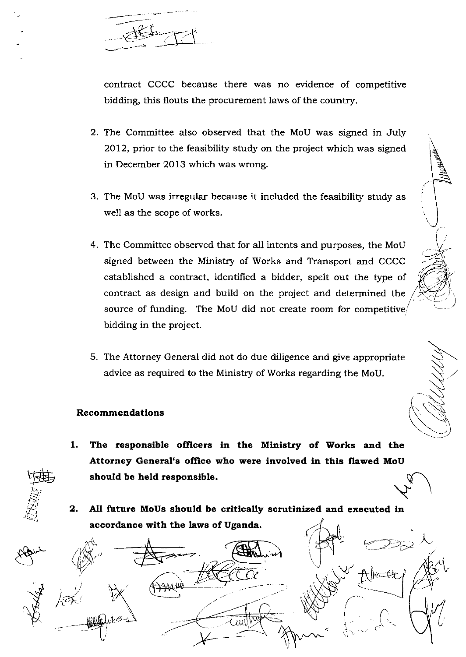,?Y,},

contract CCCC because there was no evidence of competitive bidding, this flouts the procurement laws of the country.

- 2. The Committee also observed that the MoU was signed in July 2012, prior to the feasibility study on the project which was signed in December 2O13 which was wrong.
- 3. The MoU was irregular because it included the feasibility study as well as the scope of works.
- 4. The Committee observed that for all intents and purposes, the MoU signed between the Ministry of Works and Transport and CCCC established a contract, identified a bidder, speit out the type of contract as design and build on the project and determined the source of funding. The MoU did not create room for competitive/ bidding in the project.
- 5. The Attorney General did not do due diligence and give appropriate advice as required to the Ministry of Works regarding the MoU.

#### Recommendations

- The responsible officers in the Ministry of Works and the Attorney General's office who were involved in this flawed MoU 1 should be held responsible.
- 2. All future MoUs should be critically scrutinized and executed in accordance with the laws of Uganda.



,ffi  $\frac{1}{2}$  $\beta$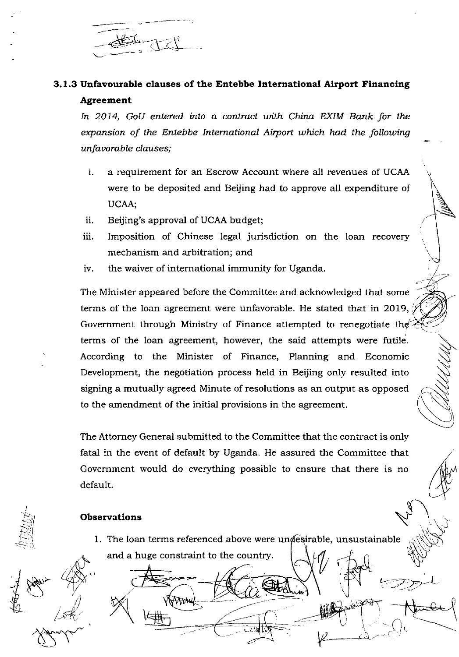

# 3.1.3 Unfavourable clauses of the Entebbe International Airport Financing Agreement

In 2014, GoU entered into a contract with China EXIM Bank for the expansion of the Entebbe International Airport which had the following unfavorable clauses;

- a requirement for an Escrow Account where all revenues of UCAA  $\mathbf{i}$ . were to be deposited and Beijing had to approve all expenditure of UCAA;
- ii. Beijing's approval of UCAA budget;
- iii. Imposition of Chinese legal jurisdiction on the loan recovery mechanism and arbitration; and
- the waiver of international immunity for Uganda. iv.

The Minister appeared before the Committee and acknowledged that some terms of the loan agreement were unfavorable. He stated that in 2019, Government through Ministry of Finance attempted to renegotiate the terms of the loan agreement, however, the said attempts were futile. According to the Minister of Finance, Planning and Economic Development, the negotiation process held in Beijing only resulted into signing a mutually agreed Minute of resolutions as an output as opposed to the amendment of the initial provisions in the agreement.

The Attorney General submitted to the Committee that the contract is only fatal in the event of default by Uganda. He assured the Committee that Government would do everything possible to ensure that there is no default.

#### Observations

1. The loan terms referenced above were undesirable, unsustainable and a huge constraint to the country.

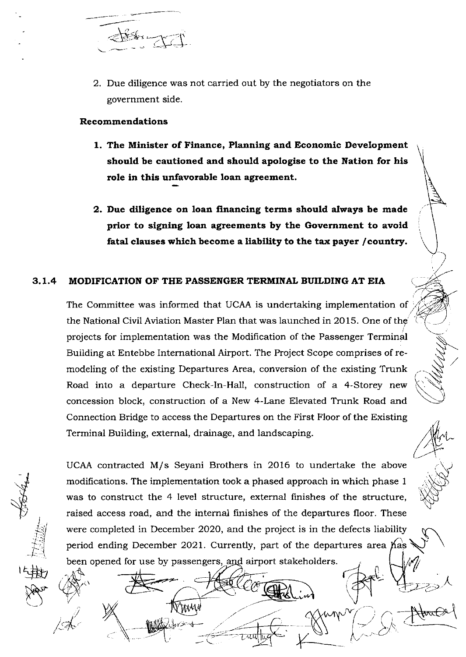

2. Due diligence was not carried out by the negotiators on the government side.

### Recommendatlons

t,

sNt' (,)

i /

i I-l l-l

- 1. The Minister of Finance, Planning and Economic Development should be cautioned and should apologise to the Nation for his role in this unfavorable loan agreement.
- 2. Due dillgence on loan flnanclng terms should always be made prior to signing loan agreements by the Government to avoid fatal clauses which become a liability to the tax payer /country.

## 3.1.4 MODIFICATION OF THE PASSENGER TERMINAL BUILDING AT EIA

The Committee was informed that UCAA is undertaking implementation of the National Civil Aviation Master Plan that was launched in 2015. One of the projects for implementation was the Modifrcation of the Passenger Terminal Building at Entebbe International Airport. The Project Scope comprises of remodeling of the existing Departures Area, conversion of the existing Trunk Road into a departure Check-In-Hall, construction of a 4-Storey new concession block, construction of a New 4-Lane Elevated Trunk Road and Connection Bridge to access the Departures on the Pirst Floor of the Existing Terminal Building, external, drainage, and landscaping.

N-- .'a\ , .N'

[\\r

 $\bigcup$ 

 $\bigwedge \bigwedge \{ \bigwedge \limits_{}^{\ell} \bigwedge \limits_{}^{\ell} \bigwedge \limits_{}^{\ell} \bigwedge \limits_{}^{\ell}$ 

 $\left\langle \downarrow \right\rangle$ 

 $\bigotimes\limits_{i\in I}\bigotimes\limits_{j\in I}\bigotimes\limits_{j\in I}\bigotimes\limits_{j\in I}\bigotimes\limits_{j\in I}\bigotimes\limits_{j\in I}\bigotimes\limits_{j\in I}\bigotimes\limits_{j\in I}\bigotimes\limits_{j\in I}\bigotimes\limits_{j\in I}\bigotimes\limits_{j\in I}\bigotimes\limits_{j\in I}\bigotimes\limits_{j\in I}\bigotimes\limits_{j\in I}\bigotimes\limits_{j\in I}\bigotimes\limits_{j\in I}\bigotimes\limits_{j\in I}\bigotimes\limits_{j\in I}\bigotimes\limits_{j\in I}\bigotimes\limits_{j\in I$ 

2-:-)

UCAA contracted M/s Seyani Brothers in 2O16 to undertake the above modifications. The impiementation took a phased approach in which phase <sup>1</sup> was to construct the 4 level structure, external finishes of the structure, raised access road, and the internal finishes of the departures floor. These were completed in December 2020, and the project is in the defects liability<br>period ending December 2021. Currently, part of the departures area  $\hat{p}_{\text{max}}$ period ending December 2021. Currently, part of the departures area  $\beta$ as been opened for use by passengers, and airport stakeholders.

W۸

 $\frac{1}{\sqrt{2}}$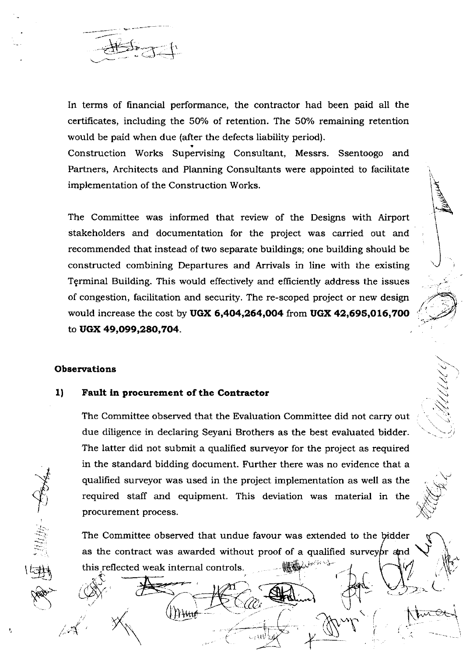In terms of financial performance, the contractor had been paid all the certificates, including the 50% of retention. The 50% remaining retention would be paid when due (after the defects liability period).

Construction Works Supervising Consultant, Messrs. Ssentoogo and Partners, Architects and Planning Consultants were appointed to facilitate implementation of the Construction Works.

The Committee was informed that review of the Designs with Airport stakeholders and documentation for the project was carried out and recommended that instead of two separate buildings; one building should be constructed combining Departures and Arrivals in line with the existing Terminal Building. This would effectively and efficiently address the issues of congestion, facilitation and security. The re-scoped project or new design would increase the cost by UGX 6,404,264,004 from UGX 42,695,016,700 to UGX 49,099,280,704.

### **Observations**

#### $1)$ Fault in procurement of the Contractor

The Committee observed that the Evaluation Committee did not carry out due diligence in declaring Seyani Brothers as the best evaluated bidder. The latter did not submit a qualified surveyor for the project as required in the standard bidding document. Further there was no evidence that a qualified surveyor was used in the project implementation as well as the required staff and equipment. This deviation was material in the procurement process.

The Committee observed that undue favour was extended to the bidder as the contract was awarded without proof of a qualified surveybr and this reflected weak internal controls.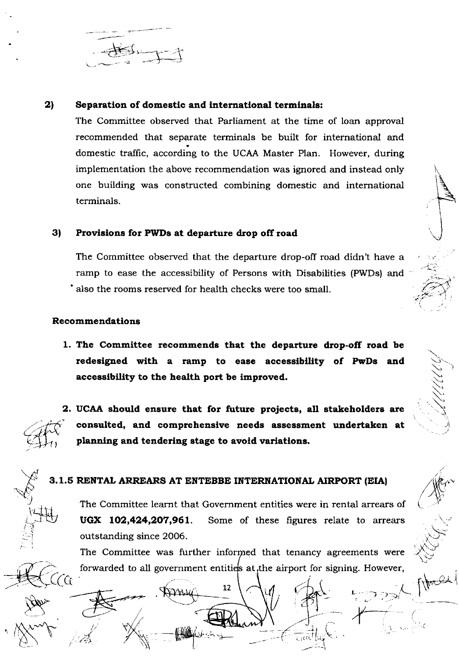#### 2) Separation of domestic and international terminals:

The Committee observed that Parliament at the time of loan approval recommended that separate terminals be built for international and domestic traffic, according to the UCAA Master Plan. However, during implementation the above recommendation was ignored and instead only one building was constructed combining domestic and international terminals.

#### 3) Provisions for PWDs at departure drop off road

The Committee observed that the departure drop-off road didn't have a ramp to ease the accessibility of Persons with Disabilities (PWDs) and also the rooms reserved for health checks were too small.

### Recommendations

1. The Committee recommends that the departure drop-off road be redesigned with a ramp to ease accessibility of PwDs and accessibility to the health port be improved.

CG.

2. UCAA should ensure that for future projects, all stakeholders are consulted, and comprehensive needs assessment undertaken at planning and tendering stage to avoid variations.

## 3.1.5 RENTAL ARREARS AT ENTEBBE INTERNATIONAL AIRPORT (EIA)

The Committee learnt that Government entities were in rental arrears of UGX 102,424,207,961. Some of these figures relate to arrears outstanding since 2006.

The Committee was further informed that tenancy agreements were forwarded to all government entities at, the airport for signing. However,

12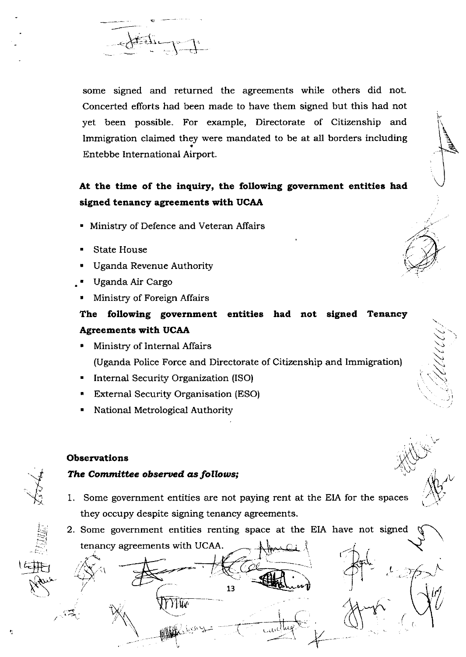

some signed and returned the agreements while others did not. Concerted efforts had been made to have them signed but this had not yet been possible. For example, Directorate of Citizenship and Immigration claimed they were mandated to be at all borders including Entebbe International Airport.

# At the time of the inquiry, the following government entities had signed tenancy agreements with UCAA

- Ministry of Defence and Veteran Affairs
- **State House**
- Uganda Revenue Authority
- Uganda Air Cargo
- Ministry of Foreign Affairs

# The following government entities had not signed Tenancy **Agreements with UCAA**

- Ministry of Internal Affairs (Uganda Police Force and Directorate of Citizenship and Immigration)
- Internal Security Organization (ISO)
- **External Security Organisation (ESO)**
- National Metrological Authority

### **Observations**

## The Committee observed as follows;

- 1. Some government entities are not paying rent at the EIA for the spaces they occupy despite signing tenancy agreements.
- 2. Some government entities renting space at the EIA have not signed tenancy agreements with UCAA.

13 W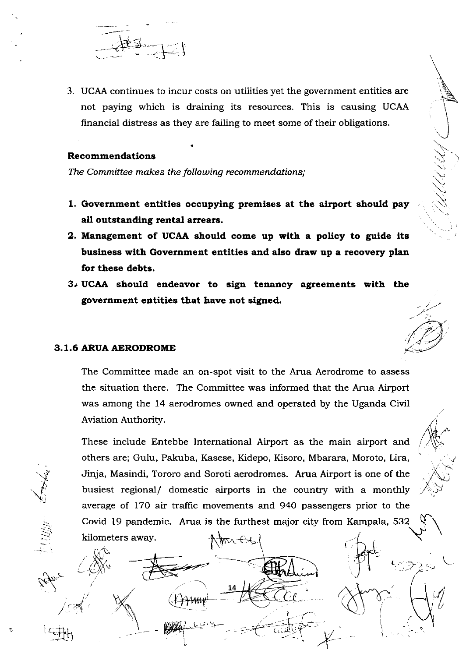

3. UCAA continues to incur costs on utilities yet the government entities are not paying which is draining its resources. This is causing UCAA financial distress as they are failing to meet some of their obligations.

#### **Recommendations**

The Committee makes the following recommendations;

- 1. Government entities occupying premises at the airport should pay all outstanding rental arrears.
- 2. Management of UCAA should come up with a policy to guide its business with Government entities and also draw up a recovery plan for these debts.
- 3. UCAA should endeavor to sign tenancy agreements with the government entities that have not signed.

### 3.1.6 ARUA AERODROME

kilometers away.

The Committee made an on-spot visit to the Arua Aerodrome to assess the situation there. The Committee was informed that the Arua Airport was among the 14 aerodromes owned and operated by the Uganda Civil Aviation Authority.

These include Entebbe International Airport as the main airport and others are; Gulu, Pakuba, Kasese, Kidepo, Kisoro, Mbarara, Moroto, Lira, Jinja, Masindi, Tororo and Soroti aerodromes. Arua Airport is one of the busiest regional/ domestic airports in the country with a monthly average of 170 air traffic movements and 940 passengers prior to the Covid 19 pandemic. Arua is the furthest major city from Kampala, 532

ᡃᢉᡃᠯᠩᠸ᠊ᢨᢈ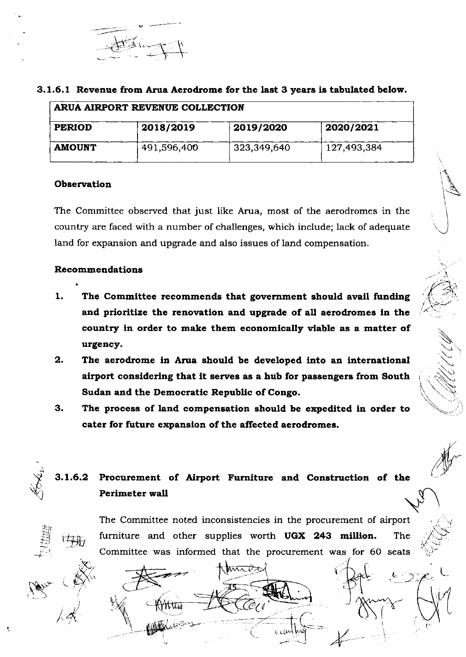

|  |  |  |  | 3.1.6.1 Revenue from Arua Aerodrome for the last 3 years is tabulated below. |  |  |  |  |  |  |
|--|--|--|--|------------------------------------------------------------------------------|--|--|--|--|--|--|
|--|--|--|--|------------------------------------------------------------------------------|--|--|--|--|--|--|

| ARUA AIRPORT REVENUE COLLECTION |             |             |             |  |  |
|---------------------------------|-------------|-------------|-------------|--|--|
| <b>PERIOD</b>                   | 2018/2019   | 2019/2020   | 2020/2021   |  |  |
| <b>AMOUNT</b>                   | 491,596,400 | 323,349,640 | 127,493,384 |  |  |

### **Observation**

The Committee observed that just like Arua, most of the aerodromes in the country are faced with a number of challenges, which include; lack of adequate land for expansion and upgrade and also issues of land compensation.

### Recommendations

- $1.$ The Committee recommends that government should avail funding and prioritize the renovation and upgrade of all aerodromes in the country in order to make them economically viable as a matter of urgency.
- $2.$ The aerodrome in Arua should be developed into an international airport considering that it serves as a hub for passengers from South Sudan and the Democratic Republic of Congo.
- 3. The process of land compensation should be expedited in order to cater for future expansion of the affected aerodromes.

ි

#### Procurement of Airport Furniture and Construction of the  $3.1.6.2$ Perimeter wall

The Committee noted inconsistencies in the procurement of airport furniture and other supplies worth UGX 243 million. **The** Committee was informed that the procurement was for 60 seats

**MATRIZ**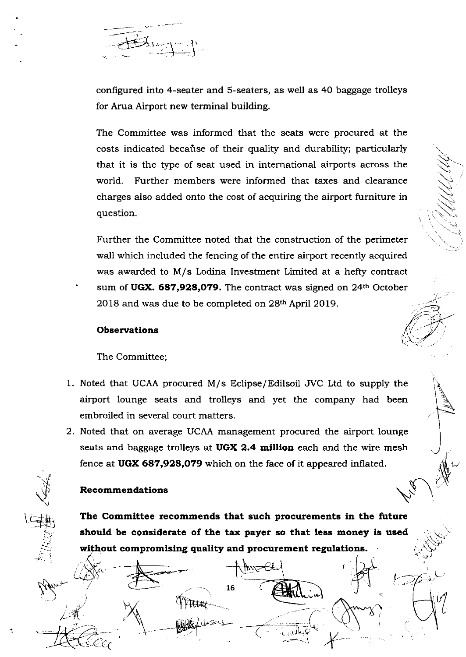

confrgured into 4-seater and S-seaters, as well as 40 baggage trolleys for Arua Airport new terminal building.

The Committee was informed that the seats were procured at the costs indicated because of their quality and durability; particularly that it is the type of seat used in international airports across the world. Further members were informed that taxes and clearance charges also added onto the cost of acquiring the airport furniture in question.

 $\bigtriangledown$ 

\\\\\\\<br>::\\\\\\\

S

 $\sim$ 

r' )-,J .

L

L

 $\mathbf{z}$ 

Further the Committee noted that the construction of the perimeter waII which included the fencing of the entire airport recently acquired was awarded to M/s Lodina Investment Limited at a hefty contract sum of UGX. 687,928,079. The contract was signed on 24<sup>th</sup> October 2O18 and was due to be completed on 28h April 2019.

#### **Observations**

The Committee;

- 1. Noted that UCAA procured M/s Eclipse/Edilsoil JVC Ltd to supply the airport lounge seats and trolleys and yet the company had been embroiled in several court matters.
- 2. Noted that on average UCAA management procured the airport lounge seats and baggage trolleys at UGX 2.4 million each and the wire mesh fence at UGX 687,928,O79 which on the face of it appeared inflated.

## Recommendations

 $\sqrt{N}$ 

((

 $\mathcal{A}$ 

 $\forall$ 

(土<mark>井</mark>

The Committee recommends that such procurements in the future should be considerate of the tax payer so that less money is used without compromising quality and procurement regulations.  $\begin{equation*} \mathcal{L} \Rightarrow \mathcal{L} \Rightarrow \mathcal{L} \Rightarrow \mathcal{L} \Rightarrow \mathcal{L} \Rightarrow \mathcal{L} \Rightarrow \mathcal{L} \Rightarrow \mathcal{L} \Rightarrow \mathcal{L} \Rightarrow \mathcal{L} \Rightarrow \mathcal{L} \Rightarrow \mathcal{L} \Rightarrow \mathcal{L} \Rightarrow \mathcal{L} \Rightarrow \mathcal{L} \Rightarrow \mathcal{L} \Rightarrow \mathcal{L} \Rightarrow \mathcal{L} \Rightarrow \mathcal{L} \Rightarrow \mathcal{L} \Rightarrow \mathcal{L} \Rightarrow \mathcal{L} \Rightarrow \mathcal{L} \Rightarrow \mathcal{L} \Rightarrow \mathcal{L} \Rightarrow \mathcal{L} \Rightarrow \mathcal{L$ J-' ,\.,  $T_{\text{max}}$   $T_{\text{max}}$   $T_{\text{max}}$   $T_{\text{max}}$   $T_{\text{max}}$   $T_{\text{max}}$   $T_{\text{max}}$ 

 $\mathbb{Z}$  to  $\overline{\text{max}}$   $\mathbb{Z}$ 15

 $\frac{1}{\cosh \varphi}$ 

I

 $L$   $\times$   $L$   $\times$   $L$   $\times$   $L$   $\times$   $L$   $\times$   $L$   $\times$   $L$   $\times$   $L$   $\times$   $L$   $\times$   $L$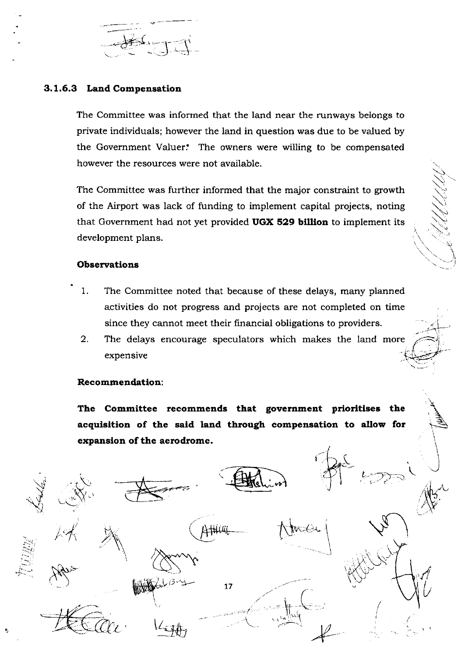

## 3.1.6.3 Land Compensation

The Committee was informed that the land near the runways belongs to private individuals; however the land in question was due to be valued by the Government Valuer. The owners were willing to be compensated however the resources were not available.

The Committee was further informed that the major constraint to growth of the Airport was lack of funding to implement capital projects, noting that Government had not yet provided UGX 529 billion to implement its development plans.

### **Observations**

- 1. The Committee noted that because of these delays, many planned activities do not progress and projects are not completed on time since they cannot meet their financial obligations to providers.
- $2.$ The delays encourage speculators which makes the land more expensive

### Recommendation:

The Committee recommends that government prioritises the acquisition of the said land through compensation to allow for expansion of the aerodrome.

 $17$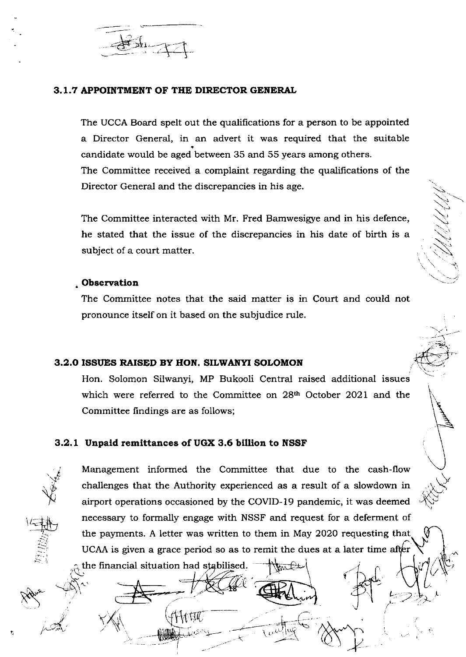

### 3.1.7 APPOINTMENT OF THE DIRECTOR GENERAL

The UCCA Board spelt out the qualifications for a person to be appointed a Director General, in an advert it was required that the suitable candidate would be aged between 35 and 55 years among others. The Committee received a complaint regarding the qualifications of the Director General and the discrepancies in his age.

The Committee interacted with Mr. Fred Bamwesigye and in his defence, he stated that the issue of the discrepancies in his date of birth is a subject of a court matter.

#### Observation

The Committee notes that the said matter is in Court and could not pronounce itself on it based on the subjudice rule.

### 3.2.0 ISSUES RAISED BY HON, SILWANYI SOLOMON

Hon. Solomon Silwanyi, MP Bukooli Central raised additional issues which were referred to the Committee on 28<sup>th</sup> October 2021 and the Committee findings are as follows;

### 3.2.1 Unpaid remittances of UGX 3.6 billion to NSSF

the financial situation had stabilised.

1 t.U

Management informed the Committee that due to the cash-flow challenges that the Authority experienced as a result of a slowdown in airport operations occasioned by the COVID-19 pandemic, it was deemed necessary to formally engage with NSSF and request for a deferment of the payments. A letter was written to them in May 2020 requesting that UCAA is given a grace period so as to remit the dues at a later time after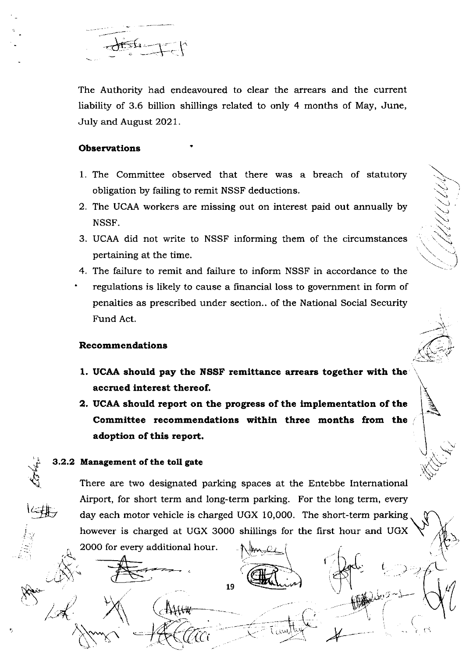The Authority had endeavoured to clear the arrears and the current liability of 3.6 billion shillings related to only 4 months of May, June, July and August 2021.

#### **Observations**

- 1. The Committee observed that there was a breach of statutory obligation by failing to remit NSSF deductions.
- 2. The UCAA workers are missing out on interest paid out annually by NSSF.
- 3. UCAA did not write to NSSF informing them of the circumstances pertaining at the time.
- 4. The failure to remit and failure to inform NSSF in accordance to the
- regulations is likely to cause a financial loss to government in form of penalties as prescribed under section.. of the National Social Security Fund Act.

### **Recommendations**

- 1. UCAA should pay the NSSF remittance arrears together with the accrued interest thereof.
- 2. UCAA should report on the progress of the implementation of the Committee recommendations within three months from the adoption of this report.

### 3.2.2 Management of the toll gate

2000 for every additional hour.

There are two designated parking spaces at the Entebbe International Airport, for short term and long-term parking. For the long term, every day each motor vehicle is charged UGX 10,000. The short-term parking however is charged at UGX 3000 shillings for the first hour and UGX

19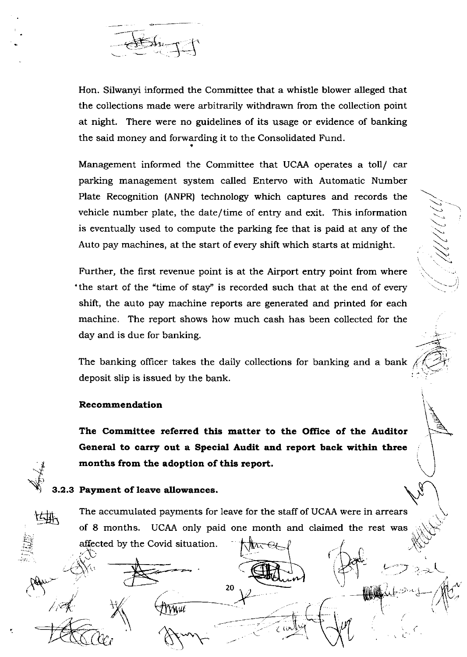

Hon. Silwanyi informed the Committee that a whistle blower alleged that the collections made were arbitrarily withdrawn from the collection point at night. There were no guidelines of its usage or evidence of banking the said money and forwarding it to the Consolidated Fund.

Management informed the Committee that UCAA operates a toll/ car parking management system called Entervo with Automatic Number Plate Recognition (ANPR) technology which captures and records the vehicle number plate, the date/time of entry and exit. This information is eventually used to compute the parking fee that is paid at any of the Auto pay machines, at the start of every shift which starts at midnight.

 $\lesssim$ 

 $\diagdown$ 

 $\bigwedge^\frown$ 

 $\mathcal{D}$   $\mathcal{A}$ 

ii-

2'.-t

(

Further, the first revenue point is at the Airport entry point from where the start of the "time of stay" is recorded such that at the end of every shift, the auto pay machine reports are generated and printed for each machine. The report shows how much cash has been collected for the day and is due for banking.

The banking officer takes the daily collections for banking and a bank deposit slip is issued by the bank.

#### Recommendation

The Committee referred this matter to the Office of the Auditor General to carry out a Special Audit and report back within three months from the adoption of this report.



t.  $-2$ 

,,.,\-.  $\widetilde{\mathcal{C}}$ 

 $\not\preccurlyeq$  ty

t

/,

## 3.2.3 Payment of leave allowances.

tt1^\*

TVNui

The accumulated payments for leave for the staff of UCAA were in arrears<br>of 8 months LICAA only paid one month and claimed the rest was of 8 months. UCAA only paid one month and claimed the rest was affec ted by the Covid situation.  $\mathfrak{m}\rightarrow$ 

 $\rightarrow$ <sup>20</sup>

 $r^2$  report to  $r^2$  report to  $r^2$  report to  $r^2$ 

 $\zeta$ 

 $\mathcal{L}$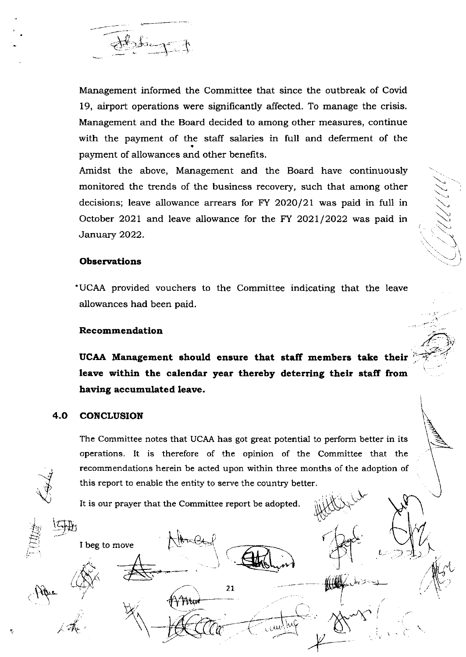

Management informed the Committee that since the outbreak of Covid 19, airport operations were significantly affected. To manage the crisis. Management and the Board decided to among other measures, continue with the payment of the staff salaries in full and deferment of the payment of allowances and other benefits.

Amidst the above, Management and the Board have continuously monitored the trends of the business recovery, such that among other decisions; leave allowance arrears for FY 2020/21 was paid in full in October 2021 and leave allowance for the FY 2021/2022 was paid in January 2022.

)-.,  $\diagdown$ 

 $\bigvee$ 

 $\overline{\widehat{C}}$  iv

 $\rightarrow$ 

]

### **Observations**

'UCAA provided vouchers to the Committee indicating that the leave allowances had been paid.

#### **Recommendation**

UCAA Management should ensure that staff members take their leave within the calendar year thereby deterring their staff from having accumulated leave.

### 4.O CONCLUSION

.<br>ايب

sfl

 $\overline{\mathbb{F}}$ 

1..  $E\,$ 

 $\left(\begin{smallmatrix} 1 & 1 \\ 1 & 1 \end{smallmatrix}\right)$ 

 $\sum_{i=1}^n$ 

I beg to move

The Committee notes that UCAA has got great potential to perform better in its operations. It is therefore of the opinion of the Committee that the recommendations herein be acted upon within three months of the adoption of this report to enable the entity to serve the country better.

 $\overline{\phantom{a}}$  21 intervals and  $\overline{\phantom{a}}$ 

sV

h ,, '. .J-

1..

 $\iota \supset \mathcal{I}$ 

.<br>X

It is our prayer that the Committee report be adopted.

l'İtar

 $\#$ ,  $\longrightarrow \mathcal{A}$  (CO

\_)